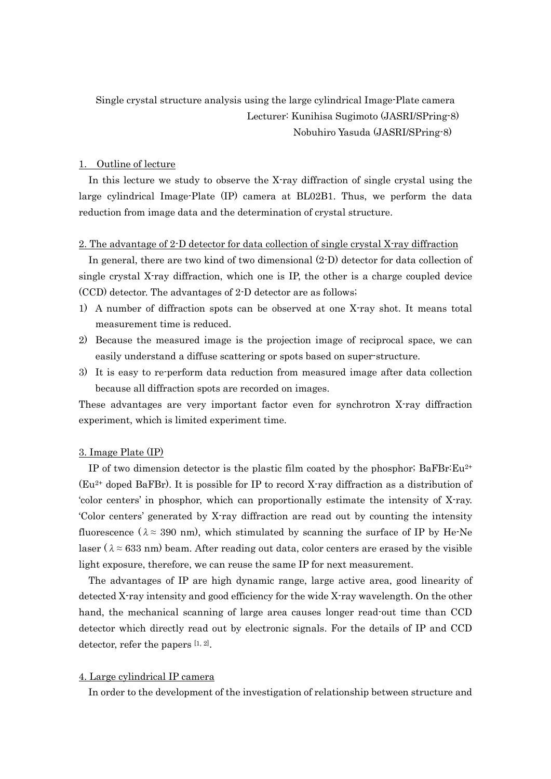# Single crystal structure analysis using the large cylindrical Image-Plate camera Lecturer: Kunihisa Sugimoto (JASRI/SPring-8) Nobuhiro Yasuda (JASRI/SPring-8)

### 1. Outline of lecture

In this lecture we study to observe the X-ray diffraction of single crystal using the large cylindrical Image-Plate (IP) camera at BL02B1. Thus, we perform the data reduction from image data and the determination of crystal structure.

#### 2. The advantage of 2-D detector for data collection of single crystal X-ray diffraction

In general, there are two kind of two dimensional (2-D) detector for data collection of single crystal X-ray diffraction, which one is IP, the other is a charge coupled device (CCD) detector. The advantages of 2-D detector are as follows;

- 1) A number of diffraction spots can be observed at one X-ray shot. It means total measurement time is reduced.
- 2) Because the measured image is the projection image of reciprocal space, we can easily understand a diffuse scattering or spots based on super-structure.
- 3) It is easy to re-perform data reduction from measured image after data collection because all diffraction spots are recorded on images.

These advantages are very important factor even for synchrotron X-ray diffraction experiment, which is limited experiment time.

#### 3. Image Plate (IP)

IP of two dimension detector is the plastic film coated by the phosphor;  $BaFBr:Eu^{2+}$ (Eu2+ doped BaFBr). It is possible for IP to record X-ray diffraction as a distribution of 'color centers' in phosphor, which can proportionally estimate the intensity of X-ray. 'Color centers' generated by X-ray diffraction are read out by counting the intensity fluorescence ( $\lambda \approx 390$  nm), which stimulated by scanning the surface of IP by He-Ne laser ( $\lambda \approx 633$  nm) beam. After reading out data, color centers are erased by the visible light exposure, therefore, we can reuse the same IP for next measurement.

The advantages of IP are high dynamic range, large active area, good linearity of detected X-ray intensity and good efficiency for the wide X-ray wavelength. On the other hand, the mechanical scanning of large area causes longer read-out time than CCD detector which directly read out by electronic signals. For the details of IP and CCD detector, refer the papers  $[1, 2]$ .

## 4. Large cylindrical IP camera

In order to the development of the investigation of relationship between structure and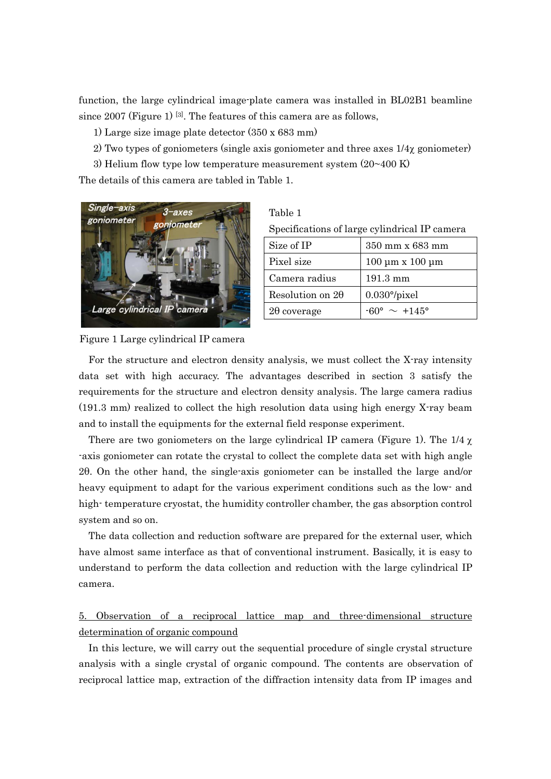function, the large cylindrical image-plate camera was installed in BL02B1 beamline since 2007 (Figure 1) [3]. The features of this camera are as follows,

1) Large size image plate detector (350 x 683 mm)

- 2) Two types of goniometers (single axis goniometer and three axes  $1/4\chi$  goniometer)
- 3) Helium flow type low temperature measurement system (20~400 K)

The details of this camera are tabled in Table 1.



| anie |  |
|------|--|
|      |  |
|      |  |

Specifications of large cylindrical IP camera

| Size of IP              | 350 mm x 683 mm                 |
|-------------------------|---------------------------------|
| Pixel size              | $100 \mu m \times 100 \mu m$    |
| Camera radius           | 191.3 mm                        |
| Resolution on $2\theta$ | $0.030^{\circ}/pixel$           |
| $2\theta$ coverage      | $-60^{\circ} \sim +145^{\circ}$ |

Figure 1 Large cylindrical IP camera

For the structure and electron density analysis, we must collect the X-ray intensity data set with high accuracy. The advantages described in section 3 satisfy the requirements for the structure and electron density analysis. The large camera radius (191.3 mm) realized to collect the high resolution data using high energy X-ray beam and to install the equipments for the external field response experiment.

There are two goniometers on the large cylindrical IP camera (Figure 1). The 1/4  $\chi$ -axis goniometer can rotate the crystal to collect the complete data set with high angle 2θ. On the other hand, the single-axis goniometer can be installed the large and/or heavy equipment to adapt for the various experiment conditions such as the low- and high- temperature cryostat, the humidity controller chamber, the gas absorption control system and so on.

The data collection and reduction software are prepared for the external user, which have almost same interface as that of conventional instrument. Basically, it is easy to understand to perform the data collection and reduction with the large cylindrical IP camera.

5. Observation of a reciprocal lattice map and three-dimensional structure determination of organic compound

In this lecture, we will carry out the sequential procedure of single crystal structure analysis with a single crystal of organic compound. The contents are observation of reciprocal lattice map, extraction of the diffraction intensity data from IP images and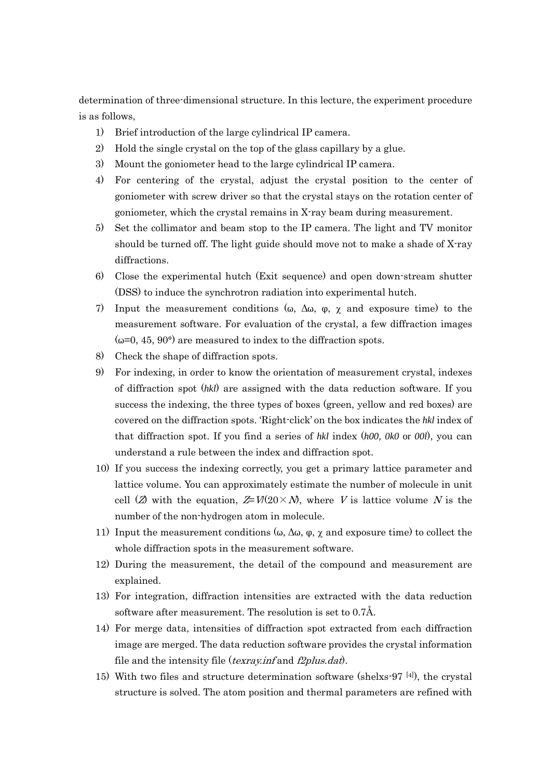determination of three-dimensional structure. In this lecture, the experiment procedure is as follows,

- 1) Brief introduction of the large cylindrical IP camera.
- 2) Hold the single crystal on the top of the glass capillary by a glue.
- 3) Mount the goniometer head to the large cylindrical IP camera.
- 4) For centering of the crystal, adjust the crystal position to the center of goniometer with screw driver so that the crystal stays on the rotation center of goniometer, which the crystal remains in X-ray beam during measurement.
- 5) Set the collimator and beam stop to the IP camera. The light and TV monitor should be turned off. The light guide should move not to make a shade of X-ray diffractions.
- 6) Close the experimental hutch (Exit sequence) and open down-stream shutter (DSS) to induce the synchrotron radiation into experimental hutch.
- 7) Input the measurement conditions (ω,  $\Delta\omega$ ,  $\varphi$ ,  $\chi$  and exposure time) to the measurement software. For evaluation of the crystal, a few diffraction images  $(\omega=0, 45, 90^{\circ})$  are measured to index to the diffraction spots.
- 8) Check the shape of diffraction spots.
- 9) For indexing, in order to know the orientation of measurement crystal, indexes of diffraction spot (*hkl*) are assigned with the data reduction software. If you success the indexing, the three types of boxes (green, yellow and red boxes) are covered on the diffraction spots. 'Right-click' on the box indicates the *hkl* index of that diffraction spot. If you find a series of *hkl* index (*h00*, *0k0* or *00l*), you can understand a rule between the index and diffraction spot.
- 10) If you success the indexing correctly, you get a primary lattice parameter and lattice volume. You can approximately estimate the number of molecule in unit cell (Z) with the equation,  $Z=V(20\times N)$ , where V is lattice volume N is the number of the non-hydrogen atom in molecule.
- 11) Input the measurement conditions ( $\omega$ ,  $\Delta \omega$ ,  $\varphi$ ,  $\chi$  and exposure time) to collect the whole diffraction spots in the measurement software.
- 12) During the measurement, the detail of the compound and measurement are explained.
- 13) For integration, diffraction intensities are extracted with the data reduction software after measurement. The resolution is set to 0.7Å.
- 14) For merge data, intensities of diffraction spot extracted from each diffraction image are merged. The data reduction software provides the crystal information file and the intensity file (*texray.inf* and  $f2p$ *lus.dat*).
- 15) With two files and structure determination software (shelxs-97 [4] ), the crystal structure is solved. The atom position and thermal parameters are refined with